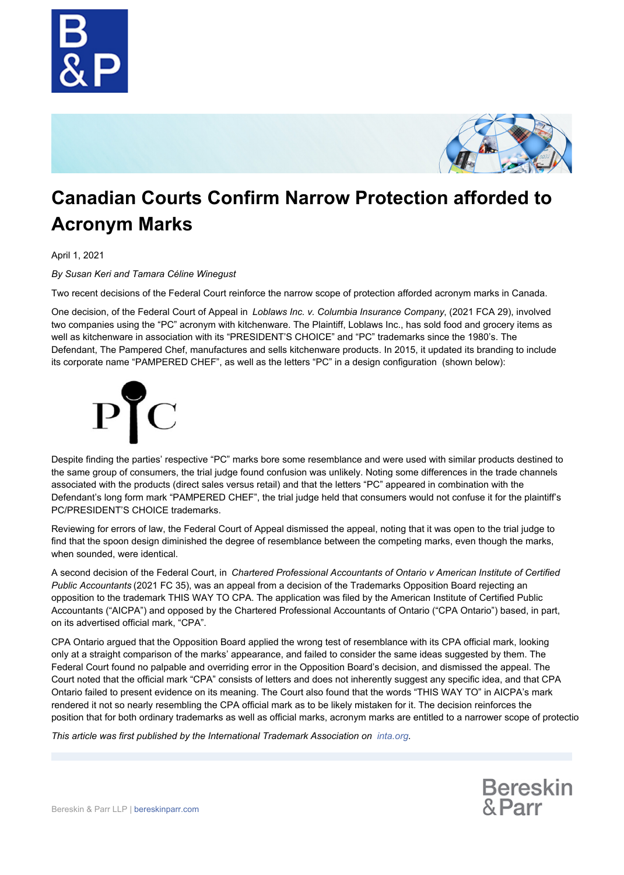



## **Canadian Courts Confirm Narrow Protection afforded to Acronym Marks**

April 1, 2021

*By Susan Keri and Tamara Céline Winegust*

Two recent decisions of the Federal Court reinforce the narrow scope of protection afforded acronym marks in Canada.

One decision, of the Federal Court of Appeal in *Loblaws Inc. v. Columbia Insurance Company*, (2021 FCA 29), involved two companies using the "PC" acronym with kitchenware. The Plaintiff, Loblaws Inc., has sold food and grocery items as well as kitchenware in association with its "PRESIDENT'S CHOICE" and "PC" trademarks since the 1980's. The Defendant, The Pampered Chef, manufactures and sells kitchenware products. In 2015, it updated its branding to include its corporate name "PAMPERED CHEF", as well as the letters "PC" in a design configuration (shown below):



Despite finding the parties' respective "PC" marks bore some resemblance and were used with similar products destined to the same group of consumers, the trial judge found confusion was unlikely. Noting some differences in the trade channels associated with the products (direct sales versus retail) and that the letters "PC" appeared in combination with the Defendant's long form mark "PAMPERED CHEF", the trial judge held that consumers would not confuse it for the plaintiff's PC/PRESIDENT'S CHOICE trademarks.

Reviewing for errors of law, the Federal Court of Appeal dismissed the appeal, noting that it was open to the trial judge to find that the spoon design diminished the degree of resemblance between the competing marks, even though the marks, when sounded, were identical.

A second decision of the Federal Court, in *Chartered Professional Accountants of Ontario v American Institute of Certified Public Accountants* (2021 FC 35), was an appeal from a decision of the Trademarks Opposition Board rejecting an opposition to the trademark THIS WAY TO CPA. The application was filed by the American Institute of Certified Public Accountants ("AICPA") and opposed by the Chartered Professional Accountants of Ontario ("CPA Ontario") based, in part, on its advertised official mark, "CPA".

CPA Ontario argued that the Opposition Board applied the wrong test of resemblance with its CPA official mark, looking only at a straight comparison of the marks' appearance, and failed to consider the same ideas suggested by them. The Federal Court found no palpable and overriding error in the Opposition Board's decision, and dismissed the appeal. The Court noted that the official mark "CPA" consists of letters and does not inherently suggest any specific idea, and that CPA Ontario failed to present evidence on its meaning. The Court also found that the words "THIS WAY TO" in AICPA's mark rendered it not so nearly resembling the CPA official mark as to be likely mistaken for it. The decision reinforces the position that for both ordinary trademarks as well as official marks, acronym marks are entitled to a narrower scope of protectio

*This article was first published by the International Trademark Association on [inta.org](https://www.inta.org/).*